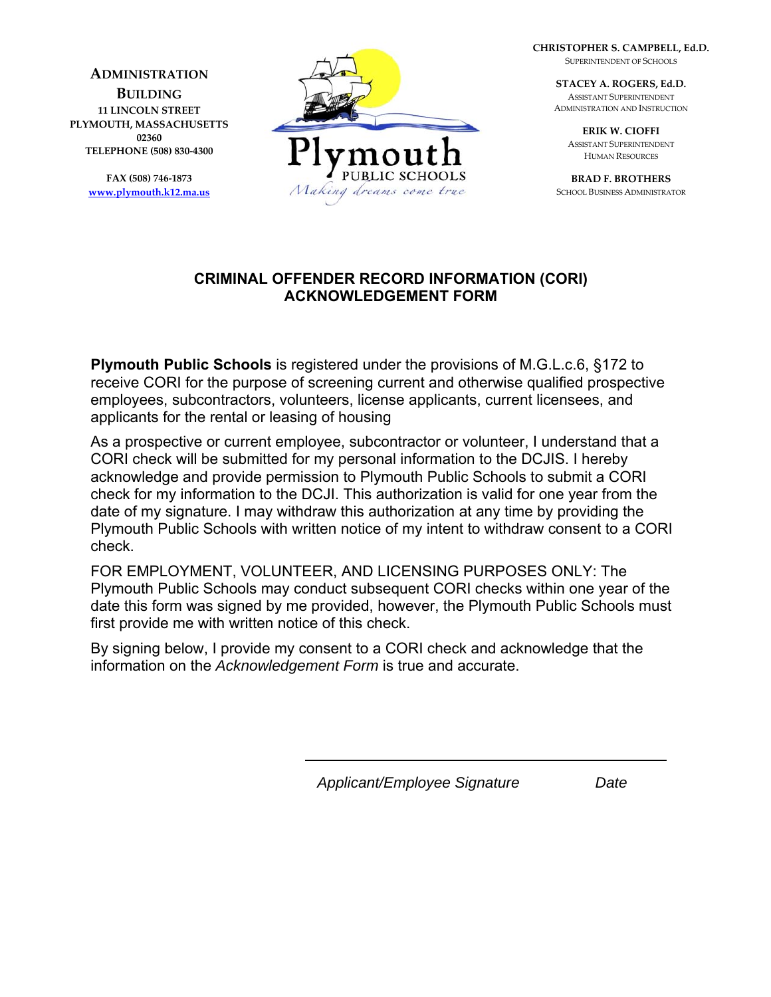**ADMINISTRATION**

**BUILDING 11 LINCOLN STREET PLYMOUTH, MASSACHUSETTS 02360 TELEPHONE (508) 830‐4300**

> **FAX (508) 746‐1873 www.plymouth.k12.ma.us**



**CHRISTOPHER S. CAMPBELL, Ed.D.** SUPERINTENDENT OF SCHOOLS

> **STACEY A. ROGERS, Ed.D.** ASSISTANT SUPERINTENDENT ADMINISTRATION AND INSTRUCTION

> > **ERIK W. CIOFFI** ASSISTANT SUPERINTENDENT HUMAN RESOURCES

**BRAD F. BROTHERS** SCHOOL BUSINESS ADMINISTRATOR

## **CRIMINAL OFFENDER RECORD INFORMATION (CORI) ACKNOWLEDGEMENT FORM**

**Plymouth Public Schools** is registered under the provisions of M.G.L.c.6, §172 to receive CORI for the purpose of screening current and otherwise qualified prospective employees, subcontractors, volunteers, license applicants, current licensees, and applicants for the rental or leasing of housing

As a prospective or current employee, subcontractor or volunteer, I understand that a CORI check will be submitted for my personal information to the DCJIS. I hereby acknowledge and provide permission to Plymouth Public Schools to submit a CORI check for my information to the DCJI. This authorization is valid for one year from the date of my signature. I may withdraw this authorization at any time by providing the Plymouth Public Schools with written notice of my intent to withdraw consent to a CORI check.

FOR EMPLOYMENT, VOLUNTEER, AND LICENSING PURPOSES ONLY: The Plymouth Public Schools may conduct subsequent CORI checks within one year of the date this form was signed by me provided, however, the Plymouth Public Schools must first provide me with written notice of this check.

By signing below, I provide my consent to a CORI check and acknowledge that the information on the *Acknowledgement Form* is true and accurate.

*Applicant/Employee Signature Date*